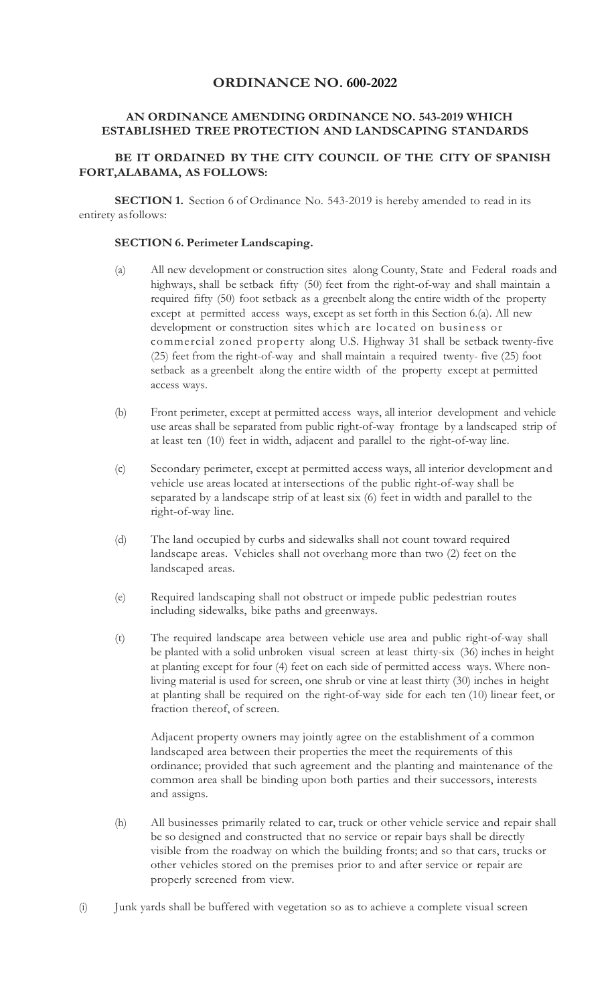### **ORDINANCE NO. 600-2022**

### **AN ORDINANCE AMENDING ORDINANCE NO. 543-2019 WHICH ESTABLISHED TREE PROTECTION AND LANDSCAPING STANDARDS**

# **BE IT ORDAINED BY THE CITY COUNCIL OF THE CITY OF SPANISH FORT,ALABAMA, AS FOLLOWS:**

**SECTION 1.** Section 6 of Ordinance No. 543-2019 is hereby amended to read in its entirety asfollows:

#### **SECTION 6. Perimeter Landscaping.**

- (a) All new development or construction sites along County, State and Federal roads and highways, shall be setback fifty (50) feet from the right-of-way and shall maintain a required fifty (50) foot setback as a greenbelt along the entire width of the property except at permitted access ways, except as set forth in this Section 6.(a). All new development or construction sites which are located on business or commercial zoned property along U.S. Highway 31 shall be setback twenty-five (25) feet from the right-of-way and shall maintain a required twenty- five (25) foot setback as a greenbelt along the entire width of the property except at permitted access ways.
- (b) Front perimeter, except at permitted access ways, all interior development and vehicle use areas shall be separated from public right-of-way frontage by a landscaped strip of at least ten (10) feet in width, adjacent and parallel to the right-of-way line.
- (c) Secondary perimeter, except at permitted access ways, all interior development and vehicle use areas located at intersections of the public right-of-way shall be separated by a landscape strip of at least six (6) feet in width and parallel to the right-of-way line.
- (d) The land occupied by curbs and sidewalks shall not count toward required landscape areas. Vehicles shall not overhang more than two (2) feet on the landscaped areas.
- (e) Required landscaping shall not obstruct or impede public pedestrian routes including sidewalks, bike paths and greenways.
- (t) The required landscape area between vehicle use area and public right-of-way shall be planted with a solid unbroken visual screen at least thirty-six (36) inches in height at planting except for four (4) feet on each side of permitted access ways. Where nonliving material is used for screen, one shrub or vine at least thirty (30) inches in height at planting shall be required on the right-of-way side for each ten (10) linear feet, or fraction thereof, of screen.

Adjacent property owners may jointly agree on the establishment of a common landscaped area between their properties the meet the requirements of this ordinance; provided that such agreement and the planting and maintenance of the common area shall be binding upon both parties and their successors, interests and assigns.

- (h) All businesses primarily related to car, truck or other vehicle service and repair shall be so designed and constructed that no service or repair bays shall be directly visible from the roadway on which the building fronts; and so that cars, trucks or other vehicles stored on the premises prior to and after service or repair are properly screened from view.
- (i) Junk yards shall be buffered with vegetation so as to achieve a complete visual screen